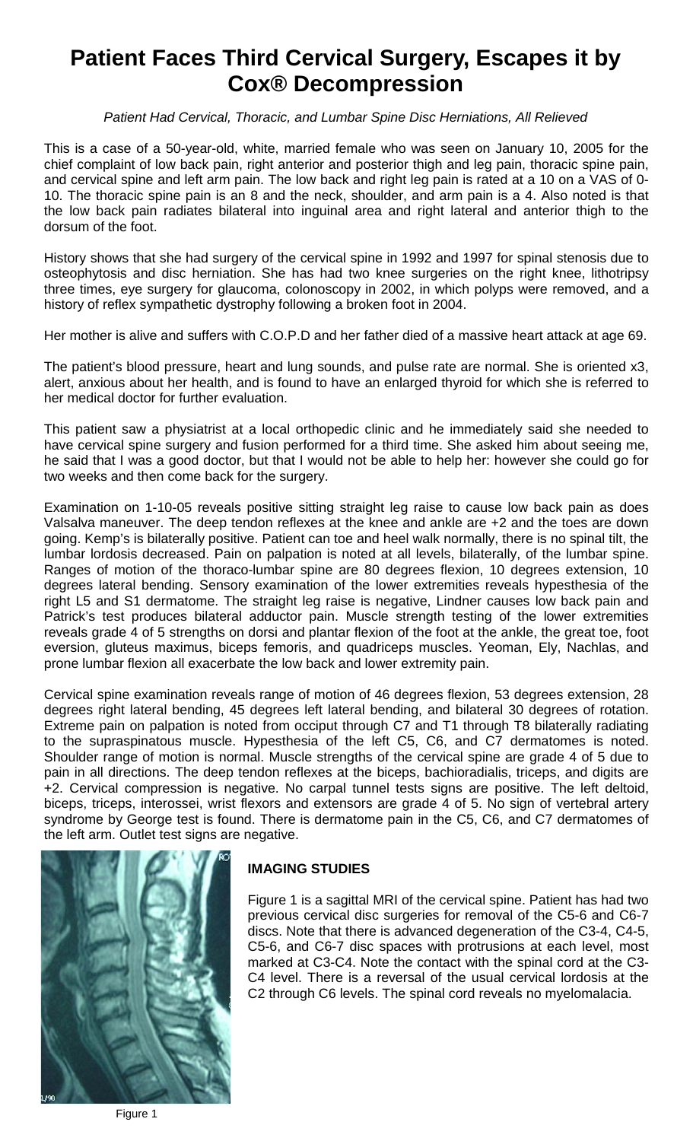# **Patient Faces Third Cervical Surgery, Escapes it by Cox® Decompression**

*Patient Had Cervical, Thoracic, and Lumbar Spine Disc Herniations, All Relieved* 

This is a case of a 50-year-old, white, married female who was seen on January 10, 2005 for the chief complaint of low back pain, right anterior and posterior thigh and leg pain, thoracic spine pain, and cervical spine and left arm pain. The low back and right leg pain is rated at a 10 on a VAS of 0- 10. The thoracic spine pain is an 8 and the neck, shoulder, and arm pain is a 4. Also noted is that the low back pain radiates bilateral into inguinal area and right lateral and anterior thigh to the dorsum of the foot.

History shows that she had surgery of the cervical spine in 1992 and 1997 for spinal stenosis due to osteophytosis and disc herniation. She has had two knee surgeries on the right knee, lithotripsy three times, eye surgery for glaucoma, colonoscopy in 2002, in which polyps were removed, and a history of reflex sympathetic dystrophy following a broken foot in 2004.

Her mother is alive and suffers with C.O.P.D and her father died of a massive heart attack at age 69.

The patient's blood pressure, heart and lung sounds, and pulse rate are normal. She is oriented x3, alert, anxious about her health, and is found to have an enlarged thyroid for which she is referred to her medical doctor for further evaluation.

This patient saw a physiatrist at a local orthopedic clinic and he immediately said she needed to have cervical spine surgery and fusion performed for a third time. She asked him about seeing me, he said that I was a good doctor, but that I would not be able to help her: however she could go for two weeks and then come back for the surgery.

Examination on 1-10-05 reveals positive sitting straight leg raise to cause low back pain as does Valsalva maneuver. The deep tendon reflexes at the knee and ankle are +2 and the toes are down going. Kemp's is bilaterally positive. Patient can toe and heel walk normally, there is no spinal tilt, the lumbar lordosis decreased. Pain on palpation is noted at all levels, bilaterally, of the lumbar spine. Ranges of motion of the thoraco-lumbar spine are 80 degrees flexion, 10 degrees extension, 10 degrees lateral bending. Sensory examination of the lower extremities reveals hypesthesia of the right L5 and S1 dermatome. The straight leg raise is negative, Lindner causes low back pain and Patrick's test produces bilateral adductor pain. Muscle strength testing of the lower extremities reveals grade 4 of 5 strengths on dorsi and plantar flexion of the foot at the ankle, the great toe, foot eversion, gluteus maximus, biceps femoris, and quadriceps muscles. Yeoman, Ely, Nachlas, and prone lumbar flexion all exacerbate the low back and lower extremity pain.

Cervical spine examination reveals range of motion of 46 degrees flexion, 53 degrees extension, 28 degrees right lateral bending, 45 degrees left lateral bending, and bilateral 30 degrees of rotation. Extreme pain on palpation is noted from occiput through C7 and T1 through T8 bilaterally radiating to the supraspinatous muscle. Hypesthesia of the left C5, C6, and C7 dermatomes is noted. Shoulder range of motion is normal. Muscle strengths of the cervical spine are grade 4 of 5 due to pain in all directions. The deep tendon reflexes at the biceps, bachioradialis, triceps, and digits are +2. Cervical compression is negative. No carpal tunnel tests signs are positive. The left deltoid, biceps, triceps, interossei, wrist flexors and extensors are grade 4 of 5. No sign of vertebral artery syndrome by George test is found. There is dermatome pain in the C5, C6, and C7 dermatomes of the left arm. Outlet test signs are negative.



#### **IMAGING STUDIES**

Figure 1 is a sagittal MRI of the cervical spine. Patient has had two previous cervical disc surgeries for removal of the C5-6 and C6-7 discs. Note that there is advanced degeneration of the C3-4, C4-5, C5-6, and C6-7 disc spaces with protrusions at each level, most marked at C3-C4. Note the contact with the spinal cord at the C3- C4 level. There is a reversal of the usual cervical lordosis at the C2 through C6 levels. The spinal cord reveals no myelomalacia.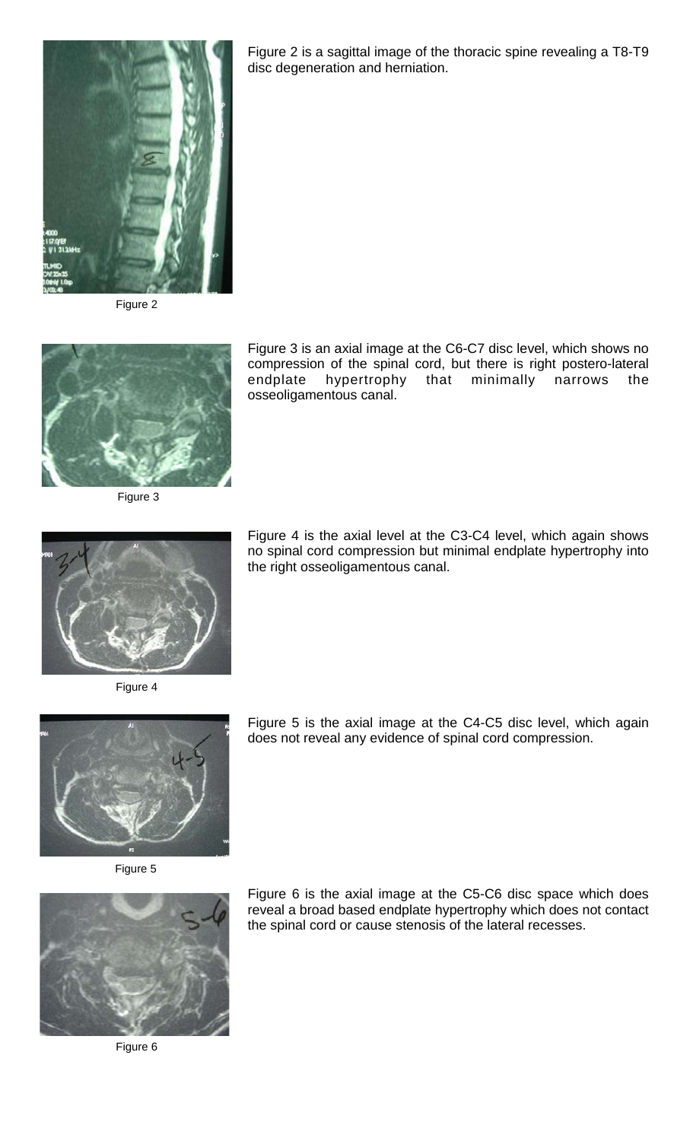

Figure 2



Figure 3

Figure 3 is an axial image at the C6-C7 disc level, which shows no compression of the spinal cord, but there is right postero-lateral endplate hypertrophy that minimally narrows the osseoligamentous canal.

Figure 2 is a sagittal image of the thoracic spine revealing a T8-T9

disc degeneration and herniation.



Figure 4



Figure 5 is the axial image at the C4-C5 disc level, which again does not reveal any evidence of spinal cord compression.



Figure 5



Figure 6

Figure 6 is the axial image at the C5-C6 disc space which does reveal a broad based endplate hypertrophy which does not contact the spinal cord or cause stenosis of the lateral recesses.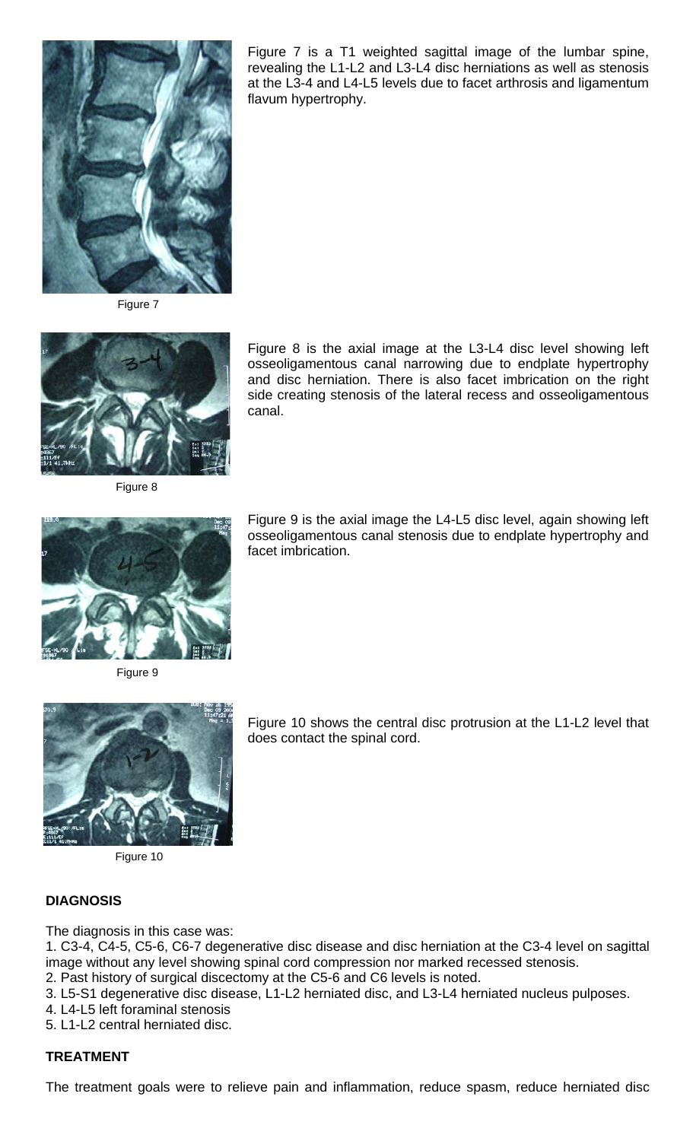

Figure 7 is a T1 weighted sagittal image of the lumbar spine, revealing the L1-L2 and L3-L4 disc herniations as well as stenosis at the L3-4 and L4-L5 levels due to facet arthrosis and ligamentum flavum hypertrophy.

Figure 7



Figure 8

Figure 8 is the axial image at the L3-L4 disc level showing left osseoligamentous canal narrowing due to endplate hypertrophy and disc herniation. There is also facet imbrication on the right side creating stenosis of the lateral recess and osseoligamentous canal.



Figure 9 is the axial image the L4-L5 disc level, again showing left osseoligamentous canal stenosis due to endplate hypertrophy and facet imbrication.

Figure 9



Figure 10

Figure 10 shows the central disc protrusion at the L1-L2 level that does contact the spinal cord.

## **DIAGNOSIS**

The diagnosis in this case was:

1. C3-4, C4-5, C5-6, C6-7 degenerative disc disease and disc herniation at the C3-4 level on sagittal image without any level showing spinal cord compression nor marked recessed stenosis.

- 2. Past history of surgical discectomy at the C5-6 and C6 levels is noted.
- 3. L5-S1 degenerative disc disease, L1-L2 herniated disc, and L3-L4 herniated nucleus pulposes.
- 4. L4-L5 left foraminal stenosis
- 5. L1-L2 central herniated disc.

#### **TREATMENT**

The treatment goals were to relieve pain and inflammation, reduce spasm, reduce herniated disc